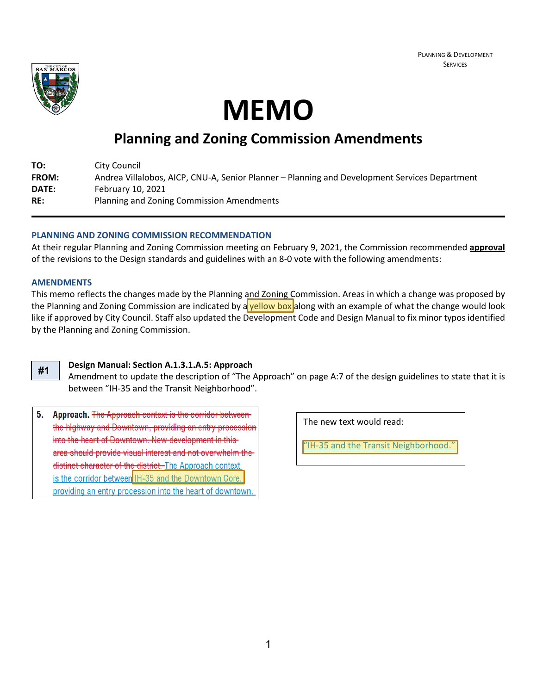

**MEMO**

# **Planning and Zoning Commission Amendments**

| TO:          | City Council                                                                                  |
|--------------|-----------------------------------------------------------------------------------------------|
| <b>FROM:</b> | Andrea Villalobos, AICP, CNU-A, Senior Planner – Planning and Development Services Department |
| DATE:        | February 10, 2021                                                                             |
| RE:          | Planning and Zoning Commission Amendments                                                     |

# **PLANNING AND ZONING COMMISSION RECOMMENDATION**

At their regular Planning and Zoning Commission meeting on February 9, 2021, the Commission recommended **approval** of the revisions to the Design standards and guidelines with an 8-0 vote with the following amendments:

### **AMENDMENTS**

This memo reflects the changes made by the Planning and Zoning Commission. Areas in which a change was proposed by the Planning and Zoning Commission are indicated by a yellow box along with an example of what the change would look like if approved by City Council. Staff also updated the Development Code and Design Manual to fix minor typos identified by the Planning and Zoning Commission.

# **#1**

# **Design Manual: Section A.1.3.1.A.5: Approach**

Amendment to update the description of "The Approach" on page A:7 of the design guidelines to state that it is between "IH-35 and the Transit Neighborhood".

 $5<sub>1</sub>$ Approach. The Approach context is the corridor betweenthe highway and Downtown, providing an entry procession into the heart of Downtown. New development in thisarea should provide visual interest and not overwhelm the distinct character of the district. The Approach context is the corridor between IH-35 and the Downtown Core. providing an entry procession into the heart of downtown.

The new text would read:

"IH-35 and the Transit Neighborhood."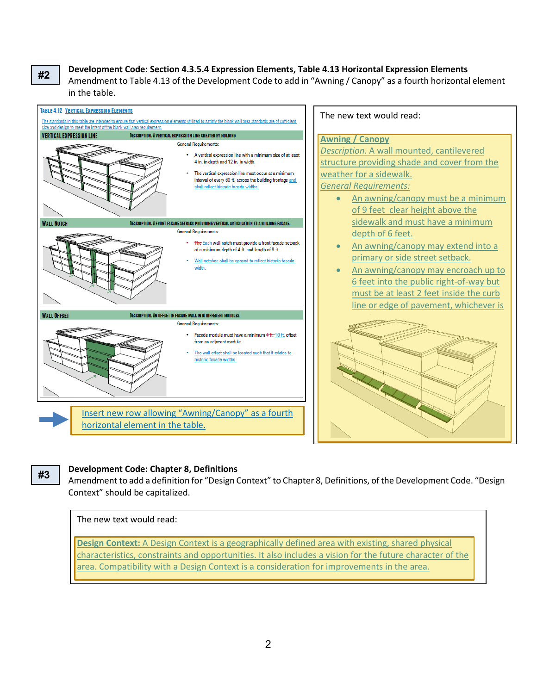**#2**

# **Development Code: Section 4.3.5.4 Expression Elements, Table 4.13 Horizontal Expression Elements**

Amendment to Table 4.13 of the Development Code to add in "Awning / Canopy" as a fourth horizontal element in the table.



**#3**

### **Development Code: Chapter 8, Definitions**

Amendment to add a definition for "Design Context" to Chapter 8, Definitions, of the Development Code. "Design Context" should be capitalized.

#### The new text would read:

**Design Context:** A Design Context is a geographically defined area with existing, shared physical characteristics, constraints and opportunities. It also includes a vision for the future character of the area. Compatibility with a Design Context is a consideration for improvements in the area.